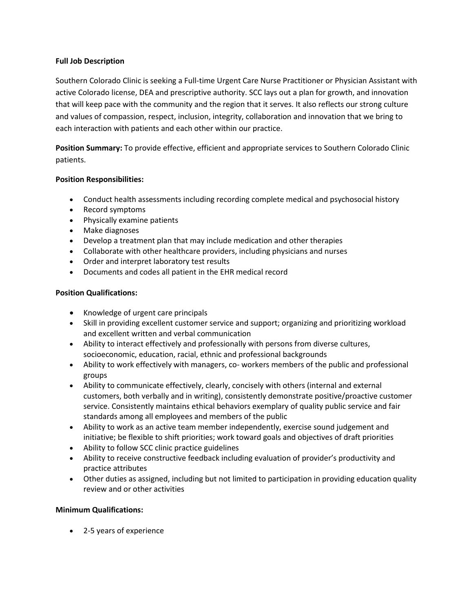## **Full Job Description**

Southern Colorado Clinic is seeking a Full-time Urgent Care Nurse Practitioner or Physician Assistant with active Colorado license, DEA and prescriptive authority. SCC lays out a plan for growth, and innovation that will keep pace with the community and the region that it serves. It also reflects our strong culture and values of compassion, respect, inclusion, integrity, collaboration and innovation that we bring to each interaction with patients and each other within our practice.

**Position Summary:** To provide effective, efficient and appropriate services to Southern Colorado Clinic patients.

## **Position Responsibilities:**

- Conduct health assessments including recording complete medical and psychosocial history
- Record symptoms
- Physically examine patients
- Make diagnoses
- Develop a treatment plan that may include medication and other therapies
- Collaborate with other healthcare providers, including physicians and nurses
- Order and interpret laboratory test results
- Documents and codes all patient in the EHR medical record

## **Position Qualifications:**

- Knowledge of urgent care principals
- Skill in providing excellent customer service and support; organizing and prioritizing workload and excellent written and verbal communication
- Ability to interact effectively and professionally with persons from diverse cultures, socioeconomic, education, racial, ethnic and professional backgrounds
- Ability to work effectively with managers, co- workers members of the public and professional groups
- Ability to communicate effectively, clearly, concisely with others (internal and external customers, both verbally and in writing), consistently demonstrate positive/proactive customer service. Consistently maintains ethical behaviors exemplary of quality public service and fair standards among all employees and members of the public
- Ability to work as an active team member independently, exercise sound judgement and initiative; be flexible to shift priorities; work toward goals and objectives of draft priorities
- Ability to follow SCC clinic practice guidelines
- Ability to receive constructive feedback including evaluation of provider's productivity and practice attributes
- Other duties as assigned, including but not limited to participation in providing education quality review and or other activities

## **Minimum Qualifications:**

• 2-5 years of experience